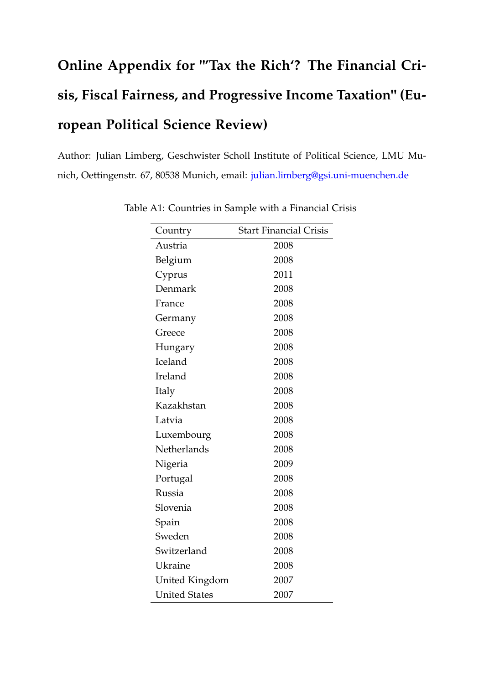## **Online Appendix for "'Tax the Rich'? The Financial Crisis, Fiscal Fairness, and Progressive Income Taxation" (European Political Science Review)**

Author: Julian Limberg, Geschwister Scholl Institute of Political Science, LMU Munich, Oettingenstr. 67, 80538 Munich, email: [julian.limberg@gsi.uni-muenchen.de](mailto:julian.limberg@gsi.uni-muenchen.de)

| Country              | <b>Start Financial Crisis</b> |
|----------------------|-------------------------------|
| Austria              | 2008                          |
| Belgium              | 2008                          |
| Cyprus               | 2011                          |
| Denmark              | 2008                          |
| France               | 2008                          |
| Germany              | 2008                          |
| Greece               | 2008                          |
| Hungary              | 2008                          |
| Iceland              | 2008                          |
| Ireland              | 2008                          |
| Italy                | 2008                          |
| Kazakhstan           | 2008                          |
| Latvia               | 2008                          |
| Luxembourg           | 2008                          |
| Netherlands          | 2008                          |
| Nigeria              | 2009                          |
| Portugal             | 2008                          |
| Russia               | 2008                          |
| Slovenia             | 2008                          |
| Spain                | 2008                          |
| Sweden               | 2008                          |
| Switzerland          | 2008                          |
| Ukraine              | 2008                          |
| United Kingdom       | 2007                          |
| <b>United States</b> | 2007                          |

Table A1: Countries in Sample with a Financial Crisis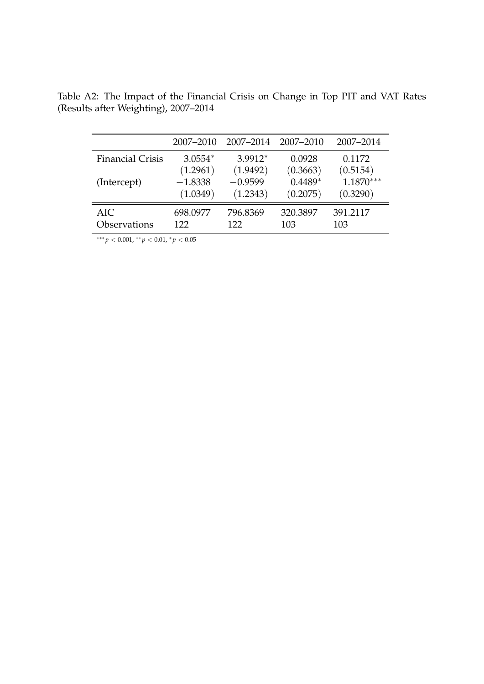|                         | 2007-2010 | 2007-2014 | 2007–2010 | 2007-2014   |
|-------------------------|-----------|-----------|-----------|-------------|
| <b>Financial Crisis</b> | $3.0554*$ | 3.9912*   | 0.0928    | 0.1172      |
|                         | (1.2961)  | (1.9492)  | (0.3663)  | (0.5154)    |
| (Intercept)             | $-1.8338$ | $-0.9599$ | $0.4489*$ | $1.1870***$ |
|                         | (1.0349)  | (1.2343)  | (0.2075)  | (0.3290)    |
| <b>AIC</b>              | 698.0977  | 796.8369  | 320.3897  | 391.2117    |
| Observations            | 122       | 122       | 103       | 103         |

Table A2: The Impact of the Financial Crisis on Change in Top PIT and VAT Rates (Results after Weighting), 2007–2014

∗∗∗ *p* < 0.001, ∗∗ *p* < 0.01, <sup>∗</sup> *p* < 0.05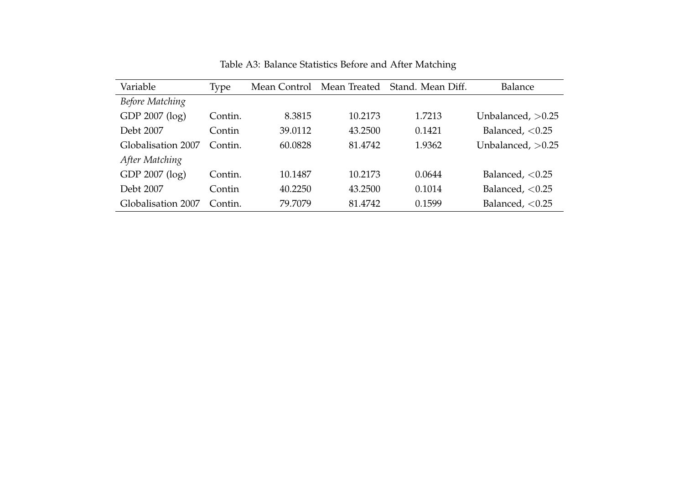| Variable           | Type    | Mean Control |         | Mean Treated Stand. Mean Diff. | Balance             |
|--------------------|---------|--------------|---------|--------------------------------|---------------------|
| Before Matching    |         |              |         |                                |                     |
| GDP 2007 (log)     | Contin. | 8.3815       | 10.2173 | 1.7213                         | Unbalanced, $>0.25$ |
| Debt 2007          | Contin  | 39.0112      | 43.2500 | 0.1421                         | Balanced, $< 0.25$  |
| Globalisation 2007 | Contin. | 60.0828      | 81.4742 | 1.9362                         | Unbalanced, $>0.25$ |
| After Matching     |         |              |         |                                |                     |
| GDP 2007 (log)     | Contin. | 10.1487      | 10.2173 | 0.0644                         | Balanced, $< 0.25$  |
| Debt 2007          | Contin  | 40.2250      | 43.2500 | 0.1014                         | Balanced, $< 0.25$  |
| Globalisation 2007 | Contin. | 79.7079      | 81.4742 | 0.1599                         | Balanced, $< 0.25$  |

Table A3: Balance Statistics Before and After Matching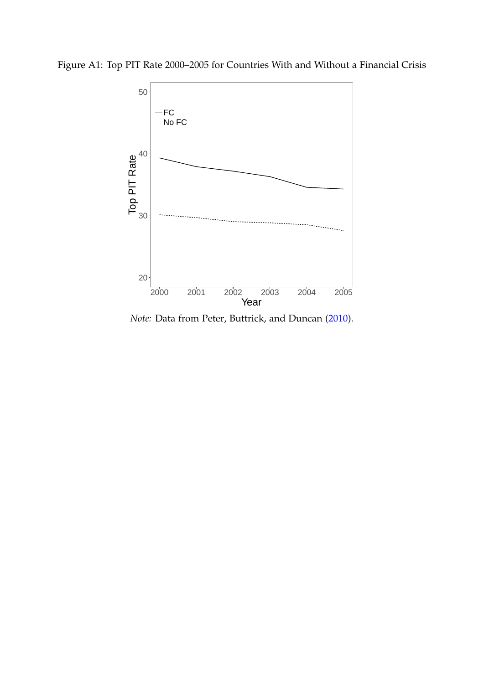



*Note:* Data from Peter, Buttrick, and Duncan (2010).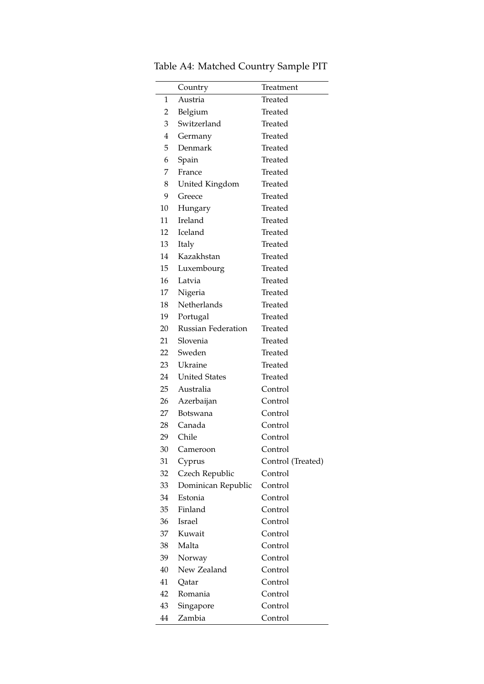|    | Country                   | Treatment         |
|----|---------------------------|-------------------|
| 1  | Austria                   | Treated           |
| 2  | Belgium                   | Treated           |
| 3  | Switzerland               | Treated           |
| 4  | Germany                   | Treated           |
| 5  | Denmark                   | Treated           |
| 6  | Spain                     | Treated           |
| 7  | France                    | Treated           |
| 8  | United Kingdom            | Treated           |
| 9  | Greece                    | Treated           |
| 10 | Hungary                   | Treated           |
| 11 | Ireland                   | Treated           |
| 12 | <b>Iceland</b>            | Treated           |
| 13 | Italy                     | Treated           |
| 14 | Kazakhstan                | Treated           |
| 15 | Luxembourg                | Treated           |
| 16 | Latvia                    | Treated           |
| 17 | Nigeria                   | Treated           |
| 18 | Netherlands               | Treated           |
| 19 | Portugal                  | Treated           |
| 20 | <b>Russian Federation</b> | Treated           |
| 21 | Slovenia                  | Treated           |
| 22 | Sweden                    | Treated           |
| 23 | Ukraine                   | Treated           |
| 24 | <b>United States</b>      | Treated           |
| 25 | Australia                 | Control           |
| 26 | Azerbaijan                | Control           |
| 27 | Botswana                  | Control           |
| 28 | Canada                    | Control           |
| 29 | Chile                     | Control           |
| 30 | Cameroon                  | Control           |
| 31 | Cyprus                    | Control (Treated) |
| 32 | Czech Republic            | Control           |
| 33 | Dominican Republic        | Control           |
| 34 | Estonia                   | Control           |
| 35 | Finland                   | Control           |
| 36 | <b>Israel</b>             | Control           |
| 37 | Kuwait                    | Control           |
| 38 | Malta                     | Control           |
| 39 | Norway                    | Control           |
| 40 | New Zealand               | Control           |
| 41 | Qatar                     | Control           |
| 42 | Romania                   | Control           |
| 43 | Singapore                 | Control           |
| 44 | Zambia                    | Control           |

Table A4: Matched Country Sample PIT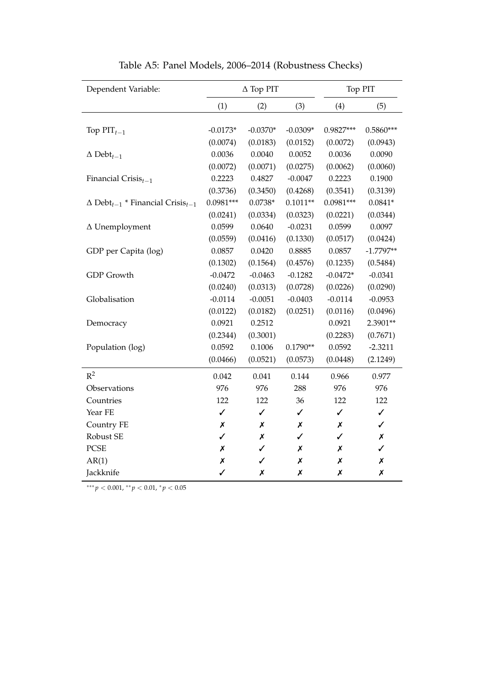| Dependent Variable:                                            |                  | $\Delta$ Top PIT |              |                | Top PIT            |  |
|----------------------------------------------------------------|------------------|------------------|--------------|----------------|--------------------|--|
|                                                                | (1)              | (2)              | (3)          | (4)            | (5)                |  |
|                                                                |                  |                  |              |                |                    |  |
| Top $PIT_{t-1}$                                                | $-0.0173*$       | $-0.0370*$       | $-0.0309*$   | 0.9827***      | $0.5860***$        |  |
|                                                                | (0.0074)         | (0.0183)         | (0.0152)     | (0.0072)       | (0.0943)           |  |
| $\Delta$ Debt <sub>t-1</sub>                                   | 0.0036           | 0.0040           | 0.0052       | 0.0036         | 0.0090             |  |
|                                                                | (0.0072)         | (0.0071)         | (0.0275)     | (0.0062)       | (0.0060)           |  |
| Financial $Crisis_{t-1}$                                       | 0.2223           | 0.4827           | $-0.0047$    | 0.2223         | 0.1900             |  |
|                                                                | (0.3736)         | (0.3450)         | (0.4268)     | (0.3541)       | (0.3139)           |  |
| $\Delta$ Debt <sub>t-1</sub> * Financial Crisis <sub>t-1</sub> | $0.0981***$      | $0.0738*$        | $0.1011**$   | $0.0981***$    | $0.0841*$          |  |
|                                                                | (0.0241)         | (0.0334)         | (0.0323)     | (0.0221)       | (0.0344)           |  |
| $\Delta$ Unemployment                                          | 0.0599           | 0.0640           | $-0.0231$    | 0.0599         | 0.0097             |  |
|                                                                | (0.0559)         | (0.0416)         | (0.1330)     | (0.0517)       | (0.0424)           |  |
| GDP per Capita (log)                                           | 0.0857           | 0.0420           | 0.8885       | 0.0857         | $-1.7797**$        |  |
|                                                                | (0.1302)         | (0.1564)         | (0.4576)     | (0.1235)       | (0.5484)           |  |
| <b>GDP</b> Growth                                              | $-0.0472$        | $-0.0463$        | $-0.1282$    | $-0.0472*$     | $-0.0341$          |  |
|                                                                | (0.0240)         | (0.0313)         | (0.0728)     | (0.0226)       | (0.0290)           |  |
| Globalisation                                                  | $-0.0114$        | $-0.0051$        | $-0.0403$    | $-0.0114$      | $-0.0953$          |  |
|                                                                | (0.0122)         | (0.0182)         | (0.0251)     | (0.0116)       | (0.0496)           |  |
| Democracy                                                      | 0.0921           | 0.2512           |              | 0.0921         | 2.3901**           |  |
|                                                                | (0.2344)         | (0.3001)         |              | (0.2283)       | (0.7671)           |  |
| Population (log)                                               | 0.0592           | 0.1006           | $0.1790**$   | 0.0592         | $-2.3211$          |  |
|                                                                | (0.0466)         | (0.0521)         | (0.0573)     | (0.0448)       | (2.1249)           |  |
| $R^2$                                                          | 0.042            | 0.041            | 0.144        | 0.966          | 0.977              |  |
| Observations                                                   | 976              | 976              | 288          | 976            | 976                |  |
| Countries                                                      | 122              | 122              | 36           | 122            | 122                |  |
| Year FE                                                        | $\checkmark$     | $\checkmark$     | $\checkmark$ | $\checkmark$   | $\checkmark$       |  |
| Country FE                                                     | Х                | Х                | Х            | Х              | $\checkmark$       |  |
| Robust SE                                                      | ✓                | Х                | ✓            | $\checkmark$   | $\pmb{\mathsf{x}}$ |  |
| <b>PCSE</b>                                                    | Х                | ✓                | Х            | Х              | $\checkmark$       |  |
| AR(1)                                                          | $\boldsymbol{x}$ | $\checkmark$     | X            | $\pmb{\times}$ | $\pmb{\times}$     |  |
| Jackknife                                                      | $\checkmark$     | Х                | Х            | X              | Х                  |  |

Table A5: Panel Models, 2006–2014 (Robustness Checks)

∗∗∗ *p* < 0.001, ∗∗ *p* < 0.01, <sup>∗</sup> *p* < 0.05